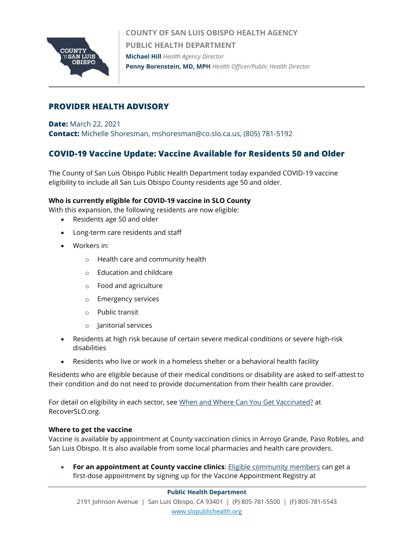

**COUNTY OF SAN LUIS OBISPO HEALTH AGENCY PUBLIC HEALTH DEPARTMENT Michael Hill** *Health Agency Director* **Penny Borenstein, MD, MPH** *Health Officer/Public Health Director*

# **PROVIDER HEALTH ADVISORY**

**Date:** March 22, 2021 **Contact:** Michelle Shoresman, mshoresman@co.slo.ca.us, (805) 781-5192

# **COVID-19 Vaccine Update: Vaccine Available for Residents 50 and Older**

The County of San Luis Obispo Public Health Department today expanded COVID-19 vaccine eligibility to include all San Luis Obispo County residents age 50 and older.

### **Who is currently eligible for COVID-19 vaccine in SLO County**

With this expansion, the following residents are now eligible:

- Residents age 50 and older
- Long-term care residents and staff
- Workers in:
	- o Health care and community health
	- o Education and childcare
	- o Food and agriculture
	- o Emergency services
	- o Public transit
	- o Janitorial services
- Residents at high risk because of certain severe medical conditions or severe high-risk disabilities
- Residents who live or work in a homeless shelter or a behavioral health facility

Residents who are eligible because of their medical conditions or disability are asked to self-attest to their condition and do not need to provide documentation from their health care provider.

For detail on eligibility in each sector, see [When and Where Can You Get Vaccinated?](https://www.recoverslo.org/en/when-and-where-can-you-get-vaccinated.aspx) at RecoverSLO.org.

#### **Where to get the vaccine**

Vaccine is available by appointment at County vaccination clinics in Arroyo Grande, Paso Robles, and San Luis Obispo. It is also available from some local pharmacies and health care providers.

• **For an appointment at County vaccine clinics**: Eligible [community](https://www.recoverslo.org/en/when-and-where-can-you-get-vaccinated.aspx) members can get a first-dose appointment by signing up for the Vaccine Appointment Registry at